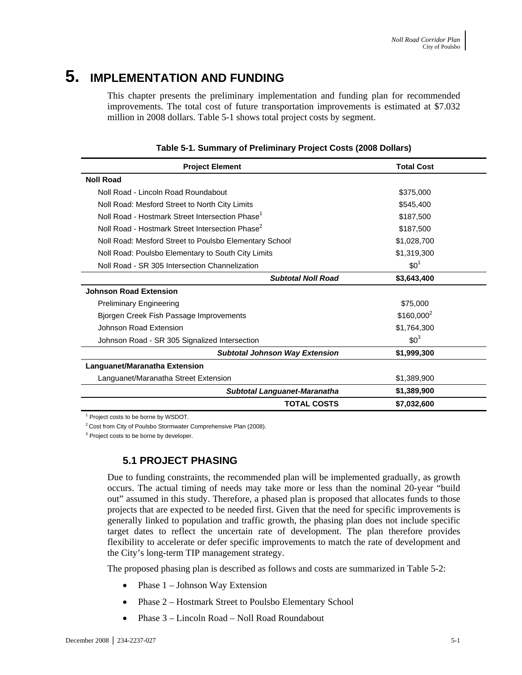# **5. IMPLEMENTATION AND FUNDING**

This chapter presents the preliminary implementation and funding plan for recommended improvements. The total cost of future transportation improvements is estimated at \$7.032 million in 2008 dollars. Table 5-1 shows total project costs by segment.

| <b>Project Element</b>                                      | <b>Total Cost</b>      |  |  |
|-------------------------------------------------------------|------------------------|--|--|
| <b>Noll Road</b>                                            |                        |  |  |
| Noll Road - Lincoln Road Roundabout                         | \$375,000              |  |  |
| Noll Road: Mesford Street to North City Limits              | \$545,400              |  |  |
| Noll Road - Hostmark Street Intersection Phase <sup>1</sup> | \$187,500              |  |  |
| Noll Road - Hostmark Street Intersection Phase <sup>2</sup> | \$187,500              |  |  |
| Noll Road: Mesford Street to Poulsbo Elementary School      | \$1,028,700            |  |  |
| Noll Road: Poulsbo Elementary to South City Limits          | \$1,319,300            |  |  |
| Noll Road - SR 305 Intersection Channelization              | $$0^1$                 |  |  |
| <b>Subtotal Noll Road</b>                                   | \$3,643,400            |  |  |
| <b>Johnson Road Extension</b>                               |                        |  |  |
| <b>Preliminary Engineering</b>                              | \$75,000               |  |  |
| Bjorgen Creek Fish Passage Improvements                     | \$160,000 <sup>2</sup> |  |  |
| Johnson Road Extension                                      | \$1,764,300            |  |  |
| Johnson Road - SR 305 Signalized Intersection               | $$0^3$                 |  |  |
| <b>Subtotal Johnson Way Extension</b>                       | \$1,999,300            |  |  |
| Languanet/Maranatha Extension                               |                        |  |  |
| Languanet/Maranatha Street Extension                        | \$1,389,900            |  |  |
| <b>Subtotal Languanet-Maranatha</b>                         | \$1,389,900            |  |  |
| <b>TOTAL COSTS</b>                                          | \$7,032,600            |  |  |

#### **Table 5-1. Summary of Preliminary Project Costs (2008 Dollars)**

<sup>1</sup> Project costs to be borne by WSDOT.

<sup>2</sup> Cost from City of Poulsbo Stormwater Comprehensive Plan (2008).

<sup>3</sup> Project costs to be borne by developer.

## **5.1 PROJECT PHASING**

Due to funding constraints, the recommended plan will be implemented gradually, as growth occurs. The actual timing of needs may take more or less than the nominal 20-year "build out" assumed in this study. Therefore, a phased plan is proposed that allocates funds to those projects that are expected to be needed first. Given that the need for specific improvements is generally linked to population and traffic growth, the phasing plan does not include specific target dates to reflect the uncertain rate of development. The plan therefore provides flexibility to accelerate or defer specific improvements to match the rate of development and the City's long-term TIP management strategy.

The proposed phasing plan is described as follows and costs are summarized in Table 5-2:

- Phase 1 Johnson Way Extension
- Phase 2 Hostmark Street to Poulsbo Elementary School
- Phase 3 Lincoln Road Noll Road Roundabout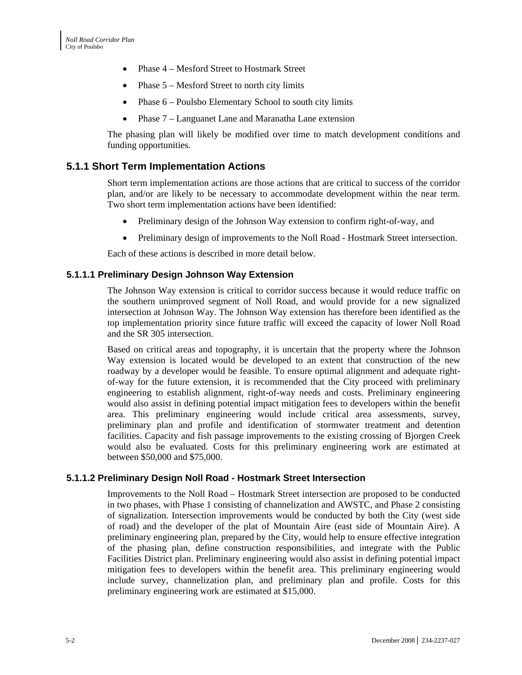- Phase 4 Mesford Street to Hostmark Street
- Phase 5 Mesford Street to north city limits
- Phase  $6$  Poulsbo Elementary School to south city limits
- Phase 7 Languanet Lane and Maranatha Lane extension

The phasing plan will likely be modified over time to match development conditions and funding opportunities.

### **5.1.1 Short Term Implementation Actions**

Short term implementation actions are those actions that are critical to success of the corridor plan, and/or are likely to be necessary to accommodate development within the near term. Two short term implementation actions have been identified:

- Preliminary design of the Johnson Way extension to confirm right-of-way, and
- Preliminary design of improvements to the Noll Road Hostmark Street intersection.

Each of these actions is described in more detail below.

#### **5.1.1.1 Preliminary Design Johnson Way Extension**

The Johnson Way extension is critical to corridor success because it would reduce traffic on the southern unimproved segment of Noll Road, and would provide for a new signalized intersection at Johnson Way. The Johnson Way extension has therefore been identified as the top implementation priority since future traffic will exceed the capacity of lower Noll Road and the SR 305 intersection.

Based on critical areas and topography, it is uncertain that the property where the Johnson Way extension is located would be developed to an extent that construction of the new roadway by a developer would be feasible. To ensure optimal alignment and adequate rightof-way for the future extension, it is recommended that the City proceed with preliminary engineering to establish alignment, right-of-way needs and costs. Preliminary engineering would also assist in defining potential impact mitigation fees to developers within the benefit area. This preliminary engineering would include critical area assessments, survey, preliminary plan and profile and identification of stormwater treatment and detention facilities. Capacity and fish passage improvements to the existing crossing of Bjorgen Creek would also be evaluated. Costs for this preliminary engineering work are estimated at between \$50,000 and \$75,000.

#### **5.1.1.2 Preliminary Design Noll Road - Hostmark Street Intersection**

Improvements to the Noll Road – Hostmark Street intersection are proposed to be conducted in two phases, with Phase 1 consisting of channelization and AWSTC, and Phase 2 consisting of signalization. Intersection improvements would be conducted by both the City (west side of road) and the developer of the plat of Mountain Aire (east side of Mountain Aire). A preliminary engineering plan, prepared by the City, would help to ensure effective integration of the phasing plan, define construction responsibilities, and integrate with the Public Facilities District plan. Preliminary engineering would also assist in defining potential impact mitigation fees to developers within the benefit area. This preliminary engineering would include survey, channelization plan, and preliminary plan and profile. Costs for this preliminary engineering work are estimated at \$15,000.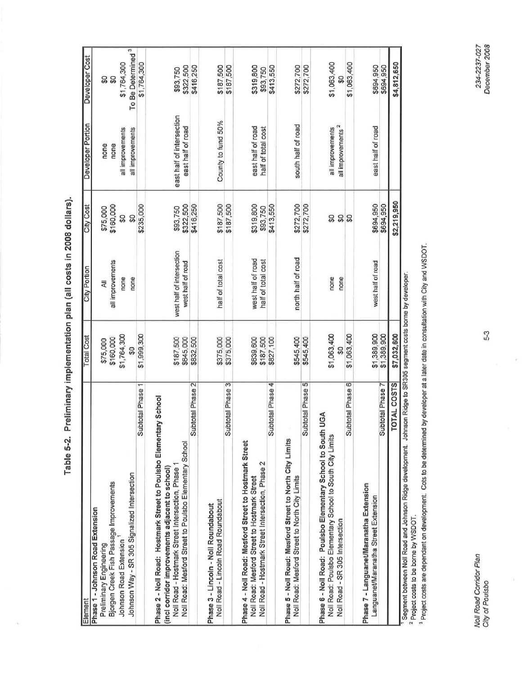Table 5-2. Preliminary implementation plan (all costs in 2008 dollars).

| \$187,500<br>\$187,500<br>City Cost<br>\$160,000<br>\$235,000<br>\$322,500<br>\$319,800<br>\$413,550<br>\$416,250<br>\$93,750<br>\$93,750<br>\$75,000<br>င္တ<br>င္တ<br>west half of intersection<br>half of total cost<br>west half of road<br>half of total cost<br>all improvements<br>west half of road<br>City Portion<br>none<br>none<br>W<br>\$1,999,300<br>\$1,764,300<br><b>Total Cost</b><br>\$187,500<br>\$160,000<br>\$645,000<br>\$375,000<br>\$639,600<br>\$827,100<br>\$187,500<br>\$832,500<br>\$375,000<br>\$75,000<br>S<br>Subtotal Phase 3<br>Subtotal Phase 2<br>Subtotal Phase 4<br>Subtotal Phase 1<br>Phase 2 - Noll Road: Hostmark Street to Poulsbo Elementary School<br>Phase 5 - Noll Road: Mesford Street to North City Limits<br>Noll Road: Mesford Street to Poulsbo Elementary School<br>Phase 4 - Noll Road: Mesford Street to Hostmark Street<br>Noll Road - Hostmark Street Intersection, Phase 2<br>Noll Road - Hostmark Street Intersection, Phase 1<br>(incl corridor improvements adjacent to school)<br>Johnson Way - SR 305 Signalized Intersection<br>Noll Road: Mesford Street to Hostmark Street<br>Bjorgen Creek Fish Passage Improvements<br>Noll Road - Lincoln Road Roundabout<br>Phase 3 - Lincoln - Noll Roundabout<br>Phase 1 - Johnson Road Extension<br>Johnson Road Extension<br><b>Preliminary Engineering</b><br>Element | east half of intersection<br>County to fund 50%<br>Developer Portion<br>east half of road<br>all improvements<br>all improvements<br>none<br>none | To Be Determined <sup>3</sup><br>Developer Cost<br>\$1,764,300<br>\$1,764,300<br>\$322,500<br>\$416,250<br>\$187,500<br>\$187,500<br>\$93,750<br>ន្ល<br>SO |  |
|--------------------------------------------------------------------------------------------------------------------------------------------------------------------------------------------------------------------------------------------------------------------------------------------------------------------------------------------------------------------------------------------------------------------------------------------------------------------------------------------------------------------------------------------------------------------------------------------------------------------------------------------------------------------------------------------------------------------------------------------------------------------------------------------------------------------------------------------------------------------------------------------------------------------------------------------------------------------------------------------------------------------------------------------------------------------------------------------------------------------------------------------------------------------------------------------------------------------------------------------------------------------------------------------------------------------------------------------------------------------------------|---------------------------------------------------------------------------------------------------------------------------------------------------|------------------------------------------------------------------------------------------------------------------------------------------------------------|--|
|                                                                                                                                                                                                                                                                                                                                                                                                                                                                                                                                                                                                                                                                                                                                                                                                                                                                                                                                                                                                                                                                                                                                                                                                                                                                                                                                                                                |                                                                                                                                                   |                                                                                                                                                            |  |
|                                                                                                                                                                                                                                                                                                                                                                                                                                                                                                                                                                                                                                                                                                                                                                                                                                                                                                                                                                                                                                                                                                                                                                                                                                                                                                                                                                                |                                                                                                                                                   |                                                                                                                                                            |  |
|                                                                                                                                                                                                                                                                                                                                                                                                                                                                                                                                                                                                                                                                                                                                                                                                                                                                                                                                                                                                                                                                                                                                                                                                                                                                                                                                                                                |                                                                                                                                                   |                                                                                                                                                            |  |
|                                                                                                                                                                                                                                                                                                                                                                                                                                                                                                                                                                                                                                                                                                                                                                                                                                                                                                                                                                                                                                                                                                                                                                                                                                                                                                                                                                                |                                                                                                                                                   |                                                                                                                                                            |  |
|                                                                                                                                                                                                                                                                                                                                                                                                                                                                                                                                                                                                                                                                                                                                                                                                                                                                                                                                                                                                                                                                                                                                                                                                                                                                                                                                                                                |                                                                                                                                                   |                                                                                                                                                            |  |
|                                                                                                                                                                                                                                                                                                                                                                                                                                                                                                                                                                                                                                                                                                                                                                                                                                                                                                                                                                                                                                                                                                                                                                                                                                                                                                                                                                                |                                                                                                                                                   |                                                                                                                                                            |  |
|                                                                                                                                                                                                                                                                                                                                                                                                                                                                                                                                                                                                                                                                                                                                                                                                                                                                                                                                                                                                                                                                                                                                                                                                                                                                                                                                                                                |                                                                                                                                                   |                                                                                                                                                            |  |
|                                                                                                                                                                                                                                                                                                                                                                                                                                                                                                                                                                                                                                                                                                                                                                                                                                                                                                                                                                                                                                                                                                                                                                                                                                                                                                                                                                                |                                                                                                                                                   |                                                                                                                                                            |  |
|                                                                                                                                                                                                                                                                                                                                                                                                                                                                                                                                                                                                                                                                                                                                                                                                                                                                                                                                                                                                                                                                                                                                                                                                                                                                                                                                                                                |                                                                                                                                                   |                                                                                                                                                            |  |
|                                                                                                                                                                                                                                                                                                                                                                                                                                                                                                                                                                                                                                                                                                                                                                                                                                                                                                                                                                                                                                                                                                                                                                                                                                                                                                                                                                                |                                                                                                                                                   |                                                                                                                                                            |  |
|                                                                                                                                                                                                                                                                                                                                                                                                                                                                                                                                                                                                                                                                                                                                                                                                                                                                                                                                                                                                                                                                                                                                                                                                                                                                                                                                                                                | east half of road                                                                                                                                 | \$319,800                                                                                                                                                  |  |
|                                                                                                                                                                                                                                                                                                                                                                                                                                                                                                                                                                                                                                                                                                                                                                                                                                                                                                                                                                                                                                                                                                                                                                                                                                                                                                                                                                                | half of total cost                                                                                                                                | \$413,550<br>\$93,750                                                                                                                                      |  |
| \$272,700<br>north half of road<br>\$545,400<br>Noll Road: Mesford Street to North City Limits                                                                                                                                                                                                                                                                                                                                                                                                                                                                                                                                                                                                                                                                                                                                                                                                                                                                                                                                                                                                                                                                                                                                                                                                                                                                                 | south half of road                                                                                                                                | \$272,700                                                                                                                                                  |  |
| \$272,700<br>\$545,400<br>Subtotal Phase 5                                                                                                                                                                                                                                                                                                                                                                                                                                                                                                                                                                                                                                                                                                                                                                                                                                                                                                                                                                                                                                                                                                                                                                                                                                                                                                                                     |                                                                                                                                                   | \$272,700                                                                                                                                                  |  |
| ន្ល<br>none<br>none<br>\$1,063,400<br>S<br>UGA<br>Phase 6 - Noll Road: Poulsbo Elementary School to South<br>Noll Road: Poulsbo Elementary School to South City Limits<br>Noll Road - SR 305 Intersection                                                                                                                                                                                                                                                                                                                                                                                                                                                                                                                                                                                                                                                                                                                                                                                                                                                                                                                                                                                                                                                                                                                                                                      | all improvements <sup>2</sup><br>all improvements                                                                                                 | \$1,063,400<br>SO                                                                                                                                          |  |
| នន<br>\$1,063,400<br>Subtotal Phase 6                                                                                                                                                                                                                                                                                                                                                                                                                                                                                                                                                                                                                                                                                                                                                                                                                                                                                                                                                                                                                                                                                                                                                                                                                                                                                                                                          |                                                                                                                                                   | \$1,063,400                                                                                                                                                |  |
| \$694,950<br>west half of road<br>\$1,389,900<br>Phase 7 - Languanet/Maranatha Extension<br>Languanet/Maranatha Street Extension                                                                                                                                                                                                                                                                                                                                                                                                                                                                                                                                                                                                                                                                                                                                                                                                                                                                                                                                                                                                                                                                                                                                                                                                                                               | east half of road                                                                                                                                 | \$694,950                                                                                                                                                  |  |
| \$694,950<br>\$1,389,900<br>Subtotal Phase 7                                                                                                                                                                                                                                                                                                                                                                                                                                                                                                                                                                                                                                                                                                                                                                                                                                                                                                                                                                                                                                                                                                                                                                                                                                                                                                                                   |                                                                                                                                                   | \$694,950                                                                                                                                                  |  |
| \$2,219,950<br>\$7,032,600<br><b>OTAL COSTS</b>                                                                                                                                                                                                                                                                                                                                                                                                                                                                                                                                                                                                                                                                                                                                                                                                                                                                                                                                                                                                                                                                                                                                                                                                                                                                                                                                |                                                                                                                                                   | \$4,812,650                                                                                                                                                |  |

Ceginum sources: 1999.<br><sup>2</sup> Project costs to be borne by WSDOT.<br><sup>3</sup> Project costs are dependant on development. Cots to be determined by developer at a later date in consultation with City and WSDOT.

 $\epsilon$ 

Noll Road Corridor Plan<br>City of Poulsbo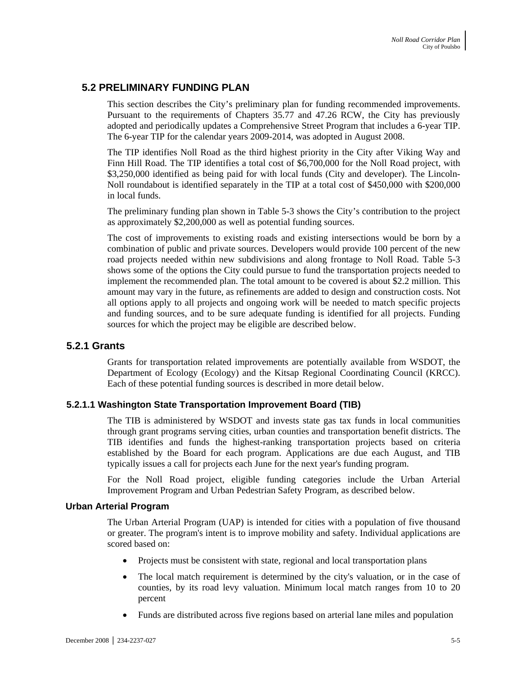## **5.2 PRELIMINARY FUNDING PLAN**

This section describes the City's preliminary plan for funding recommended improvements. Pursuant to the requirements of Chapters 35.77 and 47.26 RCW, the City has previously adopted and periodically updates a Comprehensive Street Program that includes a 6-year TIP. The 6-year TIP for the calendar years 2009-2014, was adopted in August 2008.

The TIP identifies Noll Road as the third highest priority in the City after Viking Way and Finn Hill Road. The TIP identifies a total cost of \$6,700,000 for the Noll Road project, with \$3,250,000 identified as being paid for with local funds (City and developer). The Lincoln-Noll roundabout is identified separately in the TIP at a total cost of \$450,000 with \$200,000 in local funds.

The preliminary funding plan shown in Table 5-3 shows the City's contribution to the project as approximately \$2,200,000 as well as potential funding sources.

The cost of improvements to existing roads and existing intersections would be born by a combination of public and private sources. Developers would provide 100 percent of the new road projects needed within new subdivisions and along frontage to Noll Road. Table 5-3 shows some of the options the City could pursue to fund the transportation projects needed to implement the recommended plan. The total amount to be covered is about \$2.2 million. This amount may vary in the future, as refinements are added to design and construction costs. Not all options apply to all projects and ongoing work will be needed to match specific projects and funding sources, and to be sure adequate funding is identified for all projects. Funding sources for which the project may be eligible are described below.

## **5.2.1 Grants**

Grants for transportation related improvements are potentially available from WSDOT, the Department of Ecology (Ecology) and the Kitsap Regional Coordinating Council (KRCC). Each of these potential funding sources is described in more detail below.

#### **5.2.1.1 Washington State Transportation Improvement Board (TIB)**

The TIB is administered by WSDOT and invests state gas tax funds in local communities through grant programs serving cities, urban counties and transportation benefit districts. The TIB identifies and funds the highest-ranking transportation projects based on criteria established by the Board for each program. Applications are due each August, and TIB typically issues a call for projects each June for the next year's funding program.

For the Noll Road project, eligible funding categories include the Urban Arterial Improvement Program and Urban Pedestrian Safety Program, as described below.

#### **Urban Arterial Program**

The Urban Arterial Program (UAP) is intended for cities with a population of five thousand or greater. The program's intent is to improve mobility and safety. Individual applications are scored based on:

- Projects must be consistent with state, regional and local transportation plans
- The local match requirement is determined by the city's valuation, or in the case of counties, by its road levy valuation. Minimum local match ranges from 10 to 20 percent
- Funds are distributed across five regions based on arterial lane miles and population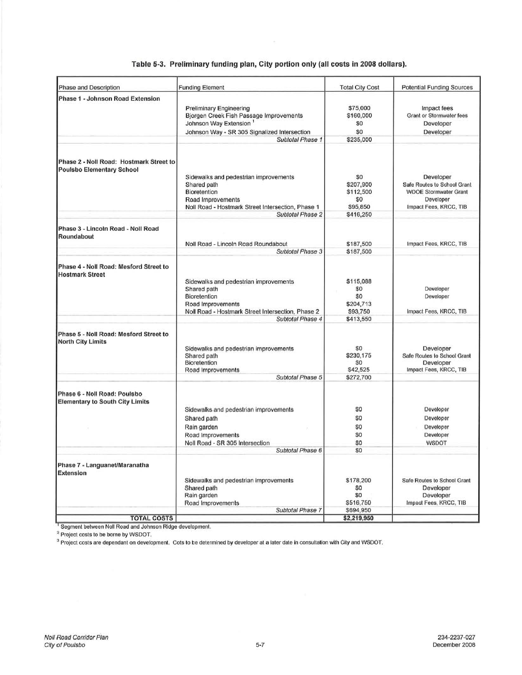| Phase and Description                                                       | <b>Funding Element</b>                                                                                                                                                       | <b>Total City Cost</b>                                        | <b>Potential Funding Sources</b>                                                                                                                                                                 |  |
|-----------------------------------------------------------------------------|------------------------------------------------------------------------------------------------------------------------------------------------------------------------------|---------------------------------------------------------------|--------------------------------------------------------------------------------------------------------------------------------------------------------------------------------------------------|--|
| Phase 1 - Johnson Road Extension                                            | Preliminary Engineering<br>Bjorgen Creek Fish Passage Improvements<br>Johnson Way Extension <sup>1</sup><br>Johnson Way - SR 305 Signalized Intersection<br>Subtotal Phase 1 | \$75,000<br>\$160,000<br>\$0<br>\$0<br>\$235,000              | Impact fees<br>Grant or Stormwater fees<br>Developer<br>Developer                                                                                                                                |  |
| Phase 2 - Noll Road: Hostmark Street to<br><b>Poulsbo Elementary School</b> | Sidewalks and pedestrian improvements<br>Shared path<br><b>Bioretention</b><br>Road Improvements<br>Noll Road - Hostmark Street Intersection, Phase 1<br>Subtotal Phase 2    | SO.<br>\$207,900<br>\$112,500<br>\$0<br>\$95,850<br>\$416,250 | Developer<br>Safe Routes to School Grant<br><b>WDOE Stormwater Grant</b><br>Developer<br>Impact Fees, KRCC, TIB                                                                                  |  |
| Phase 3 - Lincoln Road - Noll Road<br>Roundabout                            | Noll Road - Lincoln Road Roundabout<br>Subtotal Phase 3                                                                                                                      | \$187,500<br>\$187,500                                        | Impact Fees, KRCC, TIB                                                                                                                                                                           |  |
| Phase 4 - Noll Road: Mesford Street to<br><b>Hostmark Street</b>            | Sidewalks and pedestrian improvements<br>Shared path<br>Bioretention<br>Road Improvements<br>Noll Road - Hostmark Street Intersection, Phase 2<br>Subtotal Phase 4           | \$115,088<br>\$0<br>\$0<br>\$204,713<br>\$93,750<br>\$413,550 | Developer<br>Developer<br>Impact Fees, KRCC, TIB<br>Developer<br>Safe Routes to School Grant<br>Developer<br>Impact Fees, KRCC, TIB<br>Developer<br>Developer<br>Developer<br>Developer<br>WSDOT |  |
| Phase 5 - Noll Road: Mesford Street to<br><b>North City Limits</b>          | Sidewalks and pedestrian improvements<br>Shared path<br><b>Bioretention</b><br>Road Improvements<br>Subtotal Phase 5                                                         | \$0<br>\$230,175<br>\$0<br>\$42,525<br>\$272,700              |                                                                                                                                                                                                  |  |
| Phase 6 - Noll Road: Poulsbo<br><b>Elementary to South City Limits</b>      | Sidewalks and pedestrian improvements<br>Shared path<br>Rain garden<br>Road Improvements<br>Noll Road - SR 305 Intersection<br>Subtotal Phase 6                              | \$0<br>\$0<br>\$O<br>\$O<br>\$0<br>\$0                        |                                                                                                                                                                                                  |  |
| Phase 7 - Languanet/Maranatha<br><b>Extension</b>                           | Sidewalks and pedestrian improvements<br>Shared path<br>Rain garden<br>Road Improvements<br>Subtotal Phase 7                                                                 | \$178,200<br>\$0<br>\$0<br>\$516,750<br>\$694,950             | Safe Routes to School Grant<br>Developer<br>Developer<br>Impact Fees, KRCC, TIB                                                                                                                  |  |
| <b>TOTAL COSTS</b>                                                          |                                                                                                                                                                              | \$2,219,950                                                   |                                                                                                                                                                                                  |  |

#### Table 5-3. Preliminary funding plan, City portion only (all costs in 2008 dollars).

<sup>1</sup> Segment between Noll Road and Johnson Ridge development.

Project costs to be borne by WSDOT.<br>Project costs to be borne by WSDOT.<br><sup>3</sup> Project costs are dependant on development. Cots to be determined by developer at a later date in consultation with City and WSDOT.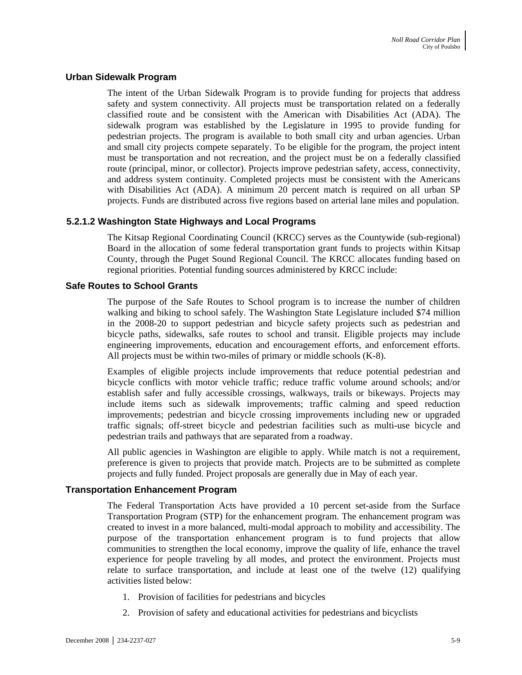#### **Urban Sidewalk Program**

The intent of the Urban Sidewalk Program is to provide funding for projects that address safety and system connectivity. All projects must be transportation related on a federally classified route and be consistent with the American with Disabilities Act (ADA). The sidewalk program was established by the Legislature in 1995 to provide funding for pedestrian projects. The program is available to both small city and urban agencies. Urban and small city projects compete separately. To be eligible for the program, the project intent must be transportation and not recreation, and the project must be on a federally classified route (principal, minor, or collector). Projects improve pedestrian safety, access, connectivity, and address system continuity. Completed projects must be consistent with the Americans with Disabilities Act (ADA). A minimum 20 percent match is required on all urban SP projects. Funds are distributed across five regions based on arterial lane miles and population.

#### **5.2.1.2 Washington State Highways and Local Programs**

The Kitsap Regional Coordinating Council (KRCC) serves as the Countywide (sub-regional) Board in the allocation of some federal transportation grant funds to projects within Kitsap County, through the Puget Sound Regional Council. The KRCC allocates funding based on regional priorities. Potential funding sources administered by KRCC include:

#### **Safe Routes to School Grants**

The purpose of the Safe Routes to School program is to increase the number of children walking and biking to school safely. The Washington State Legislature included \$74 million in the 2008-20 to support pedestrian and bicycle safety projects such as pedestrian and bicycle paths, sidewalks, safe routes to school and transit. Eligible projects may include engineering improvements, education and encouragement efforts, and enforcement efforts. All projects must be within two-miles of primary or middle schools (K-8).

Examples of eligible projects include improvements that reduce potential pedestrian and bicycle conflicts with motor vehicle traffic; reduce traffic volume around schools; and/or establish safer and fully accessible crossings, walkways, trails or bikeways. Projects may include items such as sidewalk improvements; traffic calming and speed reduction improvements; pedestrian and bicycle crossing improvements including new or upgraded traffic signals; off-street bicycle and pedestrian facilities such as multi-use bicycle and pedestrian trails and pathways that are separated from a roadway.

All public agencies in Washington are eligible to apply. While match is not a requirement, preference is given to projects that provide match. Projects are to be submitted as complete projects and fully funded. Project proposals are generally due in May of each year.

#### **Transportation Enhancement Program**

The Federal Transportation Acts have provided a 10 percent set-aside from the Surface Transportation Program (STP) for the enhancement program. The enhancement program was created to invest in a more balanced, multi-modal approach to mobility and accessibility. The purpose of the transportation enhancement program is to fund projects that allow communities to strengthen the local economy, improve the quality of life, enhance the travel experience for people traveling by all modes, and protect the environment. Projects must relate to surface transportation, and include at least one of the twelve (12) qualifying activities listed below:

- 1. Provision of facilities for pedestrians and bicycles
- 2. Provision of safety and educational activities for pedestrians and bicyclists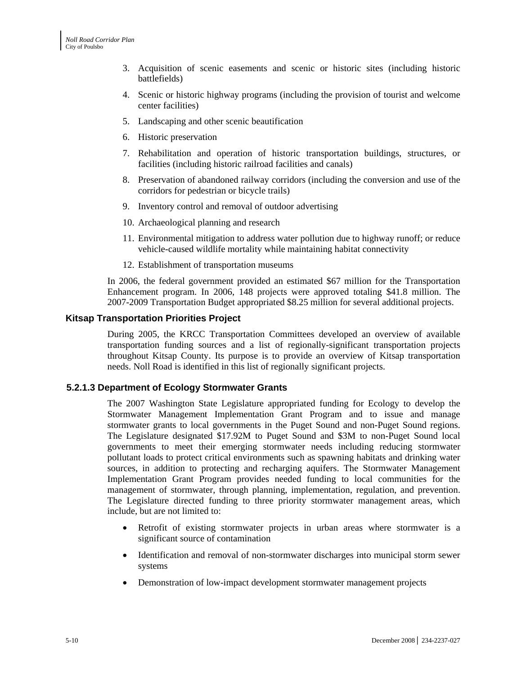- 3. Acquisition of scenic easements and scenic or historic sites (including historic battlefields)
- 4. Scenic or historic highway programs (including the provision of tourist and welcome center facilities)
- 5. Landscaping and other scenic beautification
- 6. Historic preservation
- 7. Rehabilitation and operation of historic transportation buildings, structures, or facilities (including historic railroad facilities and canals)
- 8. Preservation of abandoned railway corridors (including the conversion and use of the corridors for pedestrian or bicycle trails)
- 9. Inventory control and removal of outdoor advertising
- 10. Archaeological planning and research
- 11. Environmental mitigation to address water pollution due to highway runoff; or reduce vehicle-caused wildlife mortality while maintaining habitat connectivity
- 12. Establishment of transportation museums

In 2006, the federal government provided an estimated \$67 million for the Transportation Enhancement program. In 2006, 148 projects were approved totaling \$41.8 million. The 2007-2009 Transportation Budget appropriated \$8.25 million for several additional projects.

#### **Kitsap Transportation Priorities Project**

During 2005, the KRCC Transportation Committees developed an overview of available transportation funding sources and a list of regionally-significant transportation projects throughout Kitsap County. Its purpose is to provide an overview of Kitsap transportation needs. Noll Road is identified in this list of regionally significant projects.

#### **5.2.1.3 Department of Ecology Stormwater Grants**

The 2007 Washington State Legislature appropriated funding for Ecology to develop the Stormwater Management Implementation Grant Program and to issue and manage stormwater grants to local governments in the Puget Sound and non-Puget Sound regions. The Legislature designated \$17.92M to Puget Sound and \$3M to non-Puget Sound local governments to meet their emerging stormwater needs including reducing stormwater pollutant loads to protect critical environments such as spawning habitats and drinking water sources, in addition to protecting and recharging aquifers. The Stormwater Management Implementation Grant Program provides needed funding to local communities for the management of stormwater, through planning, implementation, regulation, and prevention. The Legislature directed funding to three priority stormwater management areas, which include, but are not limited to:

- Retrofit of existing stormwater projects in urban areas where stormwater is a significant source of contamination
- Identification and removal of non-stormwater discharges into municipal storm sewer systems
- Demonstration of low-impact development stormwater management projects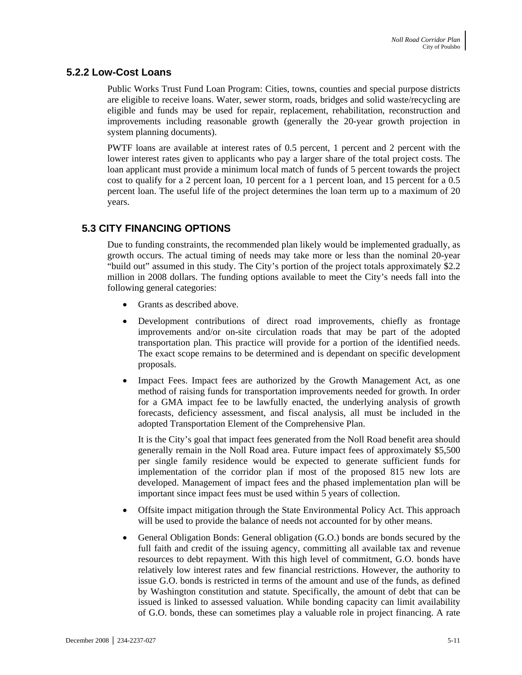## **5.2.2 Low-Cost Loans**

Public Works Trust Fund Loan Program: Cities, towns, counties and special purpose districts are eligible to receive loans. Water, sewer storm, roads, bridges and solid waste/recycling are eligible and funds may be used for repair, replacement, rehabilitation, reconstruction and improvements including reasonable growth (generally the 20-year growth projection in system planning documents).

PWTF loans are available at interest rates of 0.5 percent, 1 percent and 2 percent with the lower interest rates given to applicants who pay a larger share of the total project costs. The loan applicant must provide a minimum local match of funds of 5 percent towards the project cost to qualify for a 2 percent loan, 10 percent for a 1 percent loan, and 15 percent for a 0.5 percent loan. The useful life of the project determines the loan term up to a maximum of 20 years.

# **5.3 CITY FINANCING OPTIONS**

Due to funding constraints, the recommended plan likely would be implemented gradually, as growth occurs. The actual timing of needs may take more or less than the nominal 20-year "build out" assumed in this study. The City's portion of the project totals approximately \$2.2 million in 2008 dollars. The funding options available to meet the City's needs fall into the following general categories:

- Grants as described above.
- Development contributions of direct road improvements, chiefly as frontage improvements and/or on-site circulation roads that may be part of the adopted transportation plan. This practice will provide for a portion of the identified needs. The exact scope remains to be determined and is dependant on specific development proposals.
- Impact Fees. Impact fees are authorized by the Growth Management Act, as one method of raising funds for transportation improvements needed for growth. In order for a GMA impact fee to be lawfully enacted, the underlying analysis of growth forecasts, deficiency assessment, and fiscal analysis, all must be included in the adopted Transportation Element of the Comprehensive Plan.

It is the City's goal that impact fees generated from the Noll Road benefit area should generally remain in the Noll Road area. Future impact fees of approximately \$5,500 per single family residence would be expected to generate sufficient funds for implementation of the corridor plan if most of the proposed 815 new lots are developed. Management of impact fees and the phased implementation plan will be important since impact fees must be used within 5 years of collection.

- Offsite impact mitigation through the State Environmental Policy Act. This approach will be used to provide the balance of needs not accounted for by other means.
- General Obligation Bonds: General obligation (G.O.) bonds are bonds secured by the full faith and credit of the issuing agency, committing all available tax and revenue resources to debt repayment. With this high level of commitment, G.O. bonds have relatively low interest rates and few financial restrictions. However, the authority to issue G.O. bonds is restricted in terms of the amount and use of the funds, as defined by Washington constitution and statute. Specifically, the amount of debt that can be issued is linked to assessed valuation. While bonding capacity can limit availability of G.O. bonds, these can sometimes play a valuable role in project financing. A rate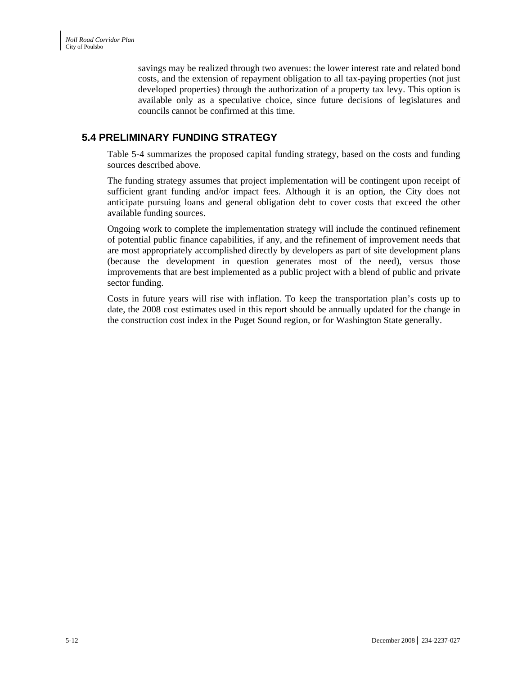savings may be realized through two avenues: the lower interest rate and related bond costs, and the extension of repayment obligation to all tax-paying properties (not just developed properties) through the authorization of a property tax levy. This option is available only as a speculative choice, since future decisions of legislatures and councils cannot be confirmed at this time.

## **5.4 PRELIMINARY FUNDING STRATEGY**

Table 5-4 summarizes the proposed capital funding strategy, based on the costs and funding sources described above.

The funding strategy assumes that project implementation will be contingent upon receipt of sufficient grant funding and/or impact fees. Although it is an option, the City does not anticipate pursuing loans and general obligation debt to cover costs that exceed the other available funding sources.

Ongoing work to complete the implementation strategy will include the continued refinement of potential public finance capabilities, if any, and the refinement of improvement needs that are most appropriately accomplished directly by developers as part of site development plans (because the development in question generates most of the need), versus those improvements that are best implemented as a public project with a blend of public and private sector funding.

Costs in future years will rise with inflation. To keep the transportation plan's costs up to date, the 2008 cost estimates used in this report should be annually updated for the change in the construction cost index in the Puget Sound region, or for Washington State generally.